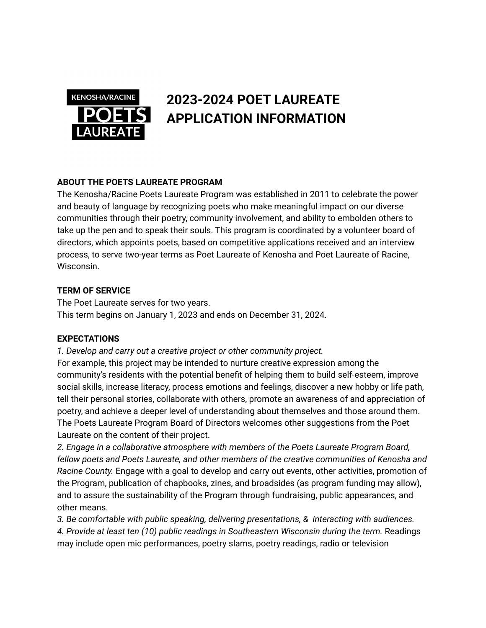

## **2023-2024 POET LAUREATE APPLICATION INFORMATION**

## **ABOUT THE POETS LAUREATE PROGRAM**

The Kenosha/Racine Poets Laureate Program was established in 2011 to celebrate the power and beauty of language by recognizing poets who make meaningful impact on our diverse communities through their poetry, community involvement, and ability to embolden others to take up the pen and to speak their souls. This program is coordinated by a volunteer board of directors, which appoints poets, based on competitive applications received and an interview process, to serve two-year terms as Poet Laureate of Kenosha and Poet Laureate of Racine, Wisconsin.

#### **TERM OF SERVICE**

The Poet Laureate serves for two years. This term begins on January 1, 2023 and ends on December 31, 2024.

#### **EXPECTATIONS**

*1. Develop and carry out a creative project or other community project.* For example, this project may be intended to nurture creative expression among the community's residents with the potential benefit of helping them to build self-esteem, improve social skills, increase literacy, process emotions and feelings, discover a new hobby or life path, tell their personal stories, collaborate with others, promote an awareness of and appreciation of poetry, and achieve a deeper level of understanding about themselves and those around them. The Poets Laureate Program Board of Directors welcomes other suggestions from the Poet Laureate on the content of their project.

*2. Engage in a collaborative atmosphere with members of the Poets Laureate Program Board, fellow poets and Poets Laureate, and other members of the creative communities of Kenosha and Racine County.* Engage with a goal to develop and carry out events, other activities, promotion of the Program, publication of chapbooks, zines, and broadsides (as program funding may allow), and to assure the sustainability of the Program through fundraising, public appearances, and other means.

*3. Be comfortable with public speaking, delivering presentations, & interacting with audiences. 4. Provide at least ten (10) public readings in Southeastern Wisconsin during the term.* Readings may include open mic performances, poetry slams, poetry readings, radio or television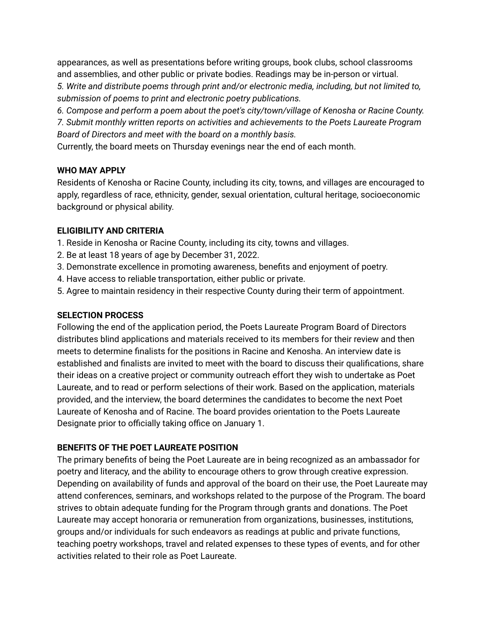appearances, as well as presentations before writing groups, book clubs, school classrooms and assemblies, and other public or private bodies. Readings may be in-person or virtual.

*5. Write and distribute poems through print and/or electronic media, including, but not limited to, submission of poems to print and electronic poetry publications.*

*6. Compose and perform a poem about the poet's city/town/village of Kenosha or Racine County.*

*7. Submit monthly written reports on activities and achievements to the Poets Laureate Program Board of Directors and meet with the board on a monthly basis.*

Currently, the board meets on Thursday evenings near the end of each month.

## **WHO MAY APPLY**

Residents of Kenosha or Racine County, including its city, towns, and villages are encouraged to apply, regardless of race, ethnicity, gender, sexual orientation, cultural heritage, socioeconomic background or physical ability.

## **ELIGIBILITY AND CRITERIA**

- 1. Reside in Kenosha or Racine County, including its city, towns and villages.
- 2. Be at least 18 years of age by December 31, 2022.
- 3. Demonstrate excellence in promoting awareness, benefits and enjoyment of poetry.
- 4. Have access to reliable transportation, either public or private.
- 5. Agree to maintain residency in their respective County during their term of appointment.

## **SELECTION PROCESS**

Following the end of the application period, the Poets Laureate Program Board of Directors distributes blind applications and materials received to its members for their review and then meets to determine finalists for the positions in Racine and Kenosha. An interview date is established and finalists are invited to meet with the board to discuss their qualifications, share their ideas on a creative project or community outreach effort they wish to undertake as Poet Laureate, and to read or perform selections of their work. Based on the application, materials provided, and the interview, the board determines the candidates to become the next Poet Laureate of Kenosha and of Racine. The board provides orientation to the Poets Laureate Designate prior to officially taking office on January 1.

## **BENEFITS OF THE POET LAUREATE POSITION**

The primary benefits of being the Poet Laureate are in being recognized as an ambassador for poetry and literacy, and the ability to encourage others to grow through creative expression. Depending on availability of funds and approval of the board on their use, the Poet Laureate may attend conferences, seminars, and workshops related to the purpose of the Program. The board strives to obtain adequate funding for the Program through grants and donations. The Poet Laureate may accept honoraria or remuneration from organizations, businesses, institutions, groups and/or individuals for such endeavors as readings at public and private functions, teaching poetry workshops, travel and related expenses to these types of events, and for other activities related to their role as Poet Laureate.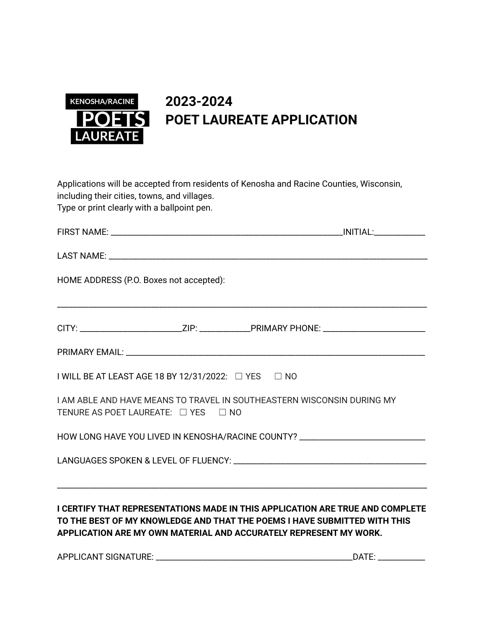

# **2023-2024 POET LAUREATE APPLICATION**

Applications will be accepted from residents of Kenosha and Racine Counties, Wisconsin, including their cities, towns, and villages. Type or print clearly with a ballpoint pen.

| HOME ADDRESS (P.O. Boxes not accepted):             |                                                                                                                                                                                                                                 |
|-----------------------------------------------------|---------------------------------------------------------------------------------------------------------------------------------------------------------------------------------------------------------------------------------|
|                                                     |                                                                                                                                                                                                                                 |
|                                                     |                                                                                                                                                                                                                                 |
| I WILL BE AT LEAST AGE 18 BY 12/31/2022: □ YES □ NO |                                                                                                                                                                                                                                 |
| TENURE AS POET LAUREATE: □ YES □ NO                 | I AM ABLE AND HAVE MEANS TO TRAVEL IN SOUTHEASTERN WISCONSIN DURING MY                                                                                                                                                          |
|                                                     | HOW LONG HAVE YOU LIVED IN KENOSHA/RACINE COUNTY? ______________________________                                                                                                                                                |
|                                                     |                                                                                                                                                                                                                                 |
|                                                     | I CERTIFY THAT REPRESENTATIONS MADE IN THIS APPLICATION ARE TRUE AND COMPLETE<br>TO THE BEST OF MY KNOWLEDGE AND THAT THE POEMS I HAVE SUBMITTED WITH THIS<br>APPLICATION ARE MY OWN MATERIAL AND ACCURATELY REPRESENT MY WORK. |

APPLICANT SIGNATURE: \_\_\_\_\_\_\_\_\_\_\_\_\_\_\_\_\_\_\_\_\_\_\_\_\_\_\_\_\_\_\_\_\_\_\_\_\_\_\_\_\_\_\_\_\_\_\_\_\_\_DATE: \_\_\_\_\_\_\_\_\_\_\_\_